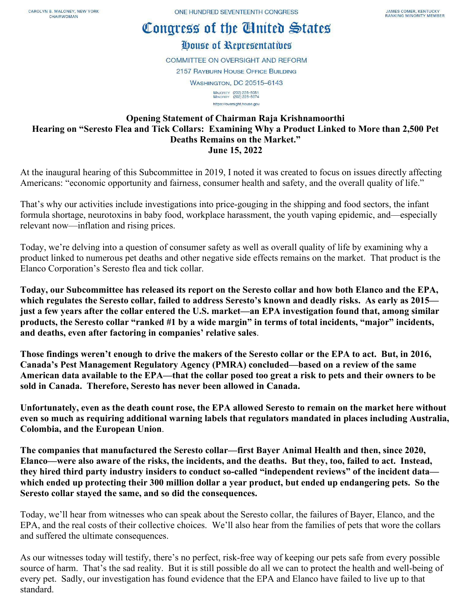## Congress of the Cinited States

## House of Representatives

**COMMITTEE ON OVERSIGHT AND REFORM 2157 RAYBURN HOUSE OFFICE BUILDING WASHINGTON, DC 20515-6143** MAJORITY (202) 225-5051<br>MINORITY (202) 225-5074 https://oversight.house.gov

## **Opening Statement of Chairman Raja Krishnamoorthi Hearing on "Seresto Flea and Tick Collars: Examining Why a Product Linked to More than 2,500 Pet Deaths Remains on the Market." June 15, 2022**

At the inaugural hearing of this Subcommittee in 2019, I noted it was created to focus on issues directly affecting Americans: "economic opportunity and fairness, consumer health and safety, and the overall quality of life."

That's why our activities include investigations into price-gouging in the shipping and food sectors, the infant formula shortage, neurotoxins in baby food, workplace harassment, the youth vaping epidemic, and—especially relevant now—inflation and rising prices.

Today, we're delving into a question of consumer safety as well as overall quality of life by examining why a product linked to numerous pet deaths and other negative side effects remains on the market. That product is the Elanco Corporation's Seresto flea and tick collar.

**Today, our Subcommittee has released its report on the Seresto collar and how both Elanco and the EPA, which regulates the Seresto collar, failed to address Seresto's known and deadly risks. As early as 2015 just a few years after the collar entered the U.S. market—an EPA investigation found that, among similar products, the Seresto collar "ranked #1 by a wide margin" in terms of total incidents, "major" incidents, and deaths, even after factoring in companies' relative sales**.

**Those findings weren't enough to drive the makers of the Seresto collar or the EPA to act. But, in 2016, Canada's Pest Management Regulatory Agency (PMRA) concluded—based on a review of the same American data available to the EPA—that the collar posed too great a risk to pets and their owners to be sold in Canada. Therefore, Seresto has never been allowed in Canada.**

**Unfortunately, even as the death count rose, the EPA allowed Seresto to remain on the market here without even so much as requiring additional warning labels that regulators mandated in places including Australia, Colombia, and the European Union**.

**The companies that manufactured the Seresto collar—first Bayer Animal Health and then, since 2020, Elanco—were also aware of the risks, the incidents, and the deaths. But they, too, failed to act. Instead, they hired third party industry insiders to conduct so-called "independent reviews" of the incident data which ended up protecting their 300 million dollar a year product, but ended up endangering pets. So the Seresto collar stayed the same, and so did the consequences.**

Today, we'll hear from witnesses who can speak about the Seresto collar, the failures of Bayer, Elanco, and the EPA, and the real costs of their collective choices. We'll also hear from the families of pets that wore the collars and suffered the ultimate consequences.

As our witnesses today will testify, there's no perfect, risk-free way of keeping our pets safe from every possible source of harm. That's the sad reality. But it is still possible do all we can to protect the health and well-being of every pet. Sadly, our investigation has found evidence that the EPA and Elanco have failed to live up to that standard.